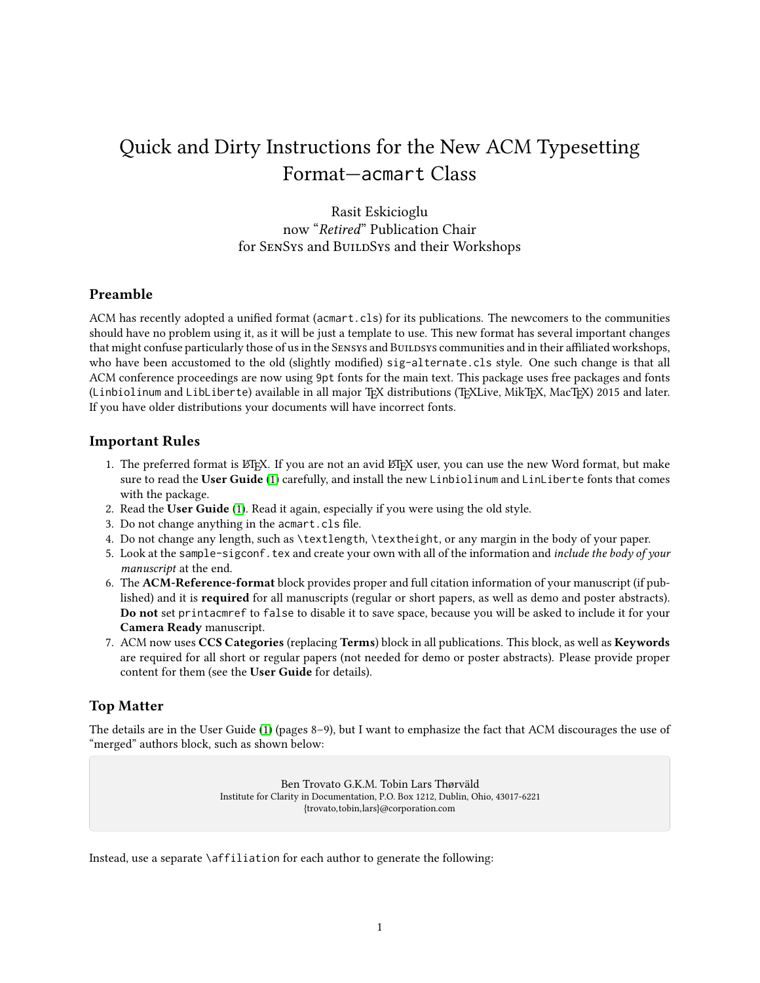# Quick and Dirty Instructions for the New ACM Typesetting Format—acmart Class

Rasit Eskicioglu now "Retired" Publication Chair for SENSYS and BUILDSYS and their Workshops

### Preamble

ACM has recently adopted a unified format (acmart.cls) for its publications. The newcomers to the communities should have no problem using it, as it will be just a template to use. This new format has several important changes that might confuse particularly those of us in the SENSYS and BUILDSYS communities and in their affiliated workshops, who have been accustomed to the old (slightly modified) sig-alternate.cls style. One such change is that all ACM conference proceedings are now using 9pt fonts for the main text. This package uses free packages and fonts (Linbiolinum and LibLiberte) available in all major TEX distributions (TEXLive, MikTEX, MacTEX) 2015 and later. If you have older distributions your documents will have incorrect fonts.

### Important Rules

- 1. The preferred format is LATEX. If you are not an avid LATEX user, you can use the new Word format, but make sure to read the User Guide [\(1\)](#page-5-0) carefully, and install the new Linbiolinum and LinLiberte fonts that comes with the package.
- 2. Read the User Guide [\(1\)](#page-5-0). Read it again, especially if you were using the old style.
- 3. Do not change anything in the acmart.cls file.
- 4. Do not change any length, such as \textlength, \textheight, or any margin in the body of your paper.
- 5. Look at the sample-sigconf.tex and create your own with all of the information and include the body of your manuscript at the end.
- 6. The ACM-Reference-format block provides proper and full citation information of your manuscript (if published) and it is required for all manuscripts (regular or short papers, as well as demo and poster abstracts). Do not set printacmref to false to disable it to save space, because you will be asked to include it for your Camera Ready manuscript.
- 7. ACM now uses CCS Categories (replacing Terms) block in all publications. This block, as well as Keywords are required for all short or regular papers (not needed for demo or poster abstracts). Please provide proper content for them (see the User Guide for details).

## Top Matter

ABSTRACT

The details are in the User Guide [\(1\)](#page-5-0) (pages 8–9), but I want to emphasize the fact that ACM discourages the use of<br>"merged" authors block, such as shown below: "merged" authors block, such as shown below: Extended Abstract†

> Ben Trovato G.K.M. Tobin Lars Thørväld Institute for Clarity in Documentation, P.O. Box 1212, Dublin, Ohio, 43017-6221 {trovato,tobin,lars}@corporation.com

> > $p$  and the unit  $\mathcal{D}_\mathcal{D}$  and  $\mathcal{D}_\mathcal{D}$  and as terms and asteristic and asteristic and asteristic and as

somewhat  $\setminus \circ \mathcal{L}$ :  $\vdots$  at  $\vdots$  and  $\vdots$  and  $\vdots$  and  $\vdots$  $\int$  cent  $\int$  cent  $\int$  cent  $\int$  cent  $\int$  cent  $\int$  cent  $\int$  cent  $\int$  cent  $\int$  cent  $\int$  cent  $\int$  cent  $\int$  cent  $\int$  cent  $\int$  cent  $\int$  cent  $\int$  cent  $\int$  cent  $\int$  cent  $\int$  cent  $\int$  cent  $\int$  cent  $\int$  cent bered headings will appear throughout the balance of this sample Instead, use a separate **\affiliation for each author to generate** the following: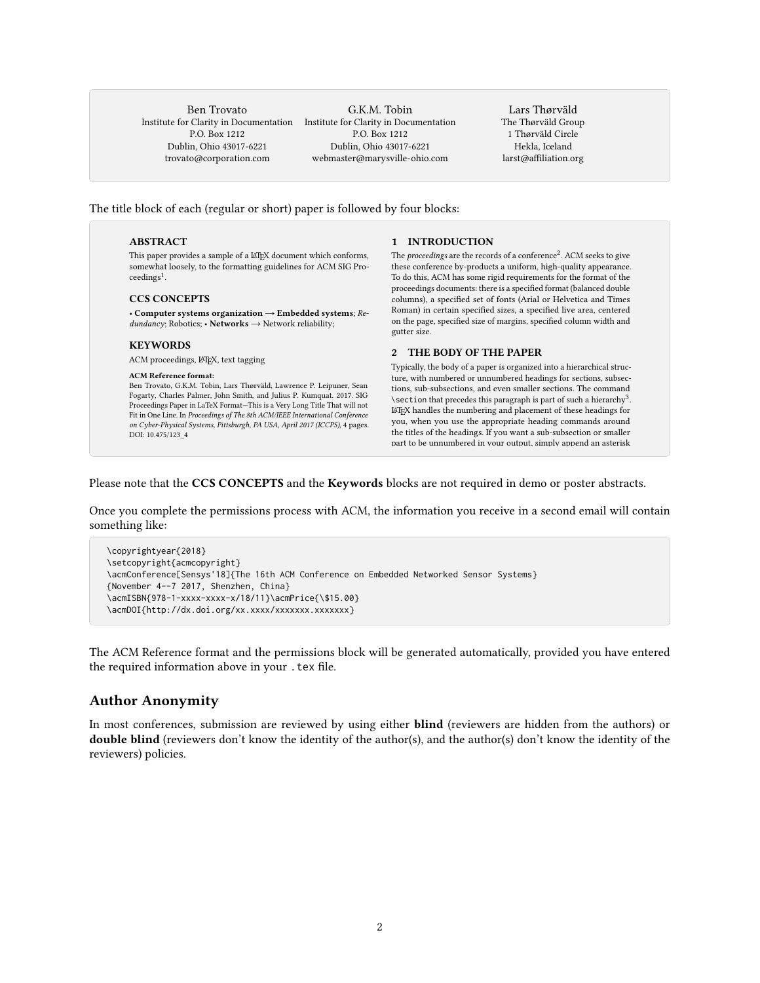Ben Trovato P.O. Box 1212 1.0. Box 1212<br>Dublin, Ohio 43017-6221 Publii, Onio 45017-0221 lleipuner@researchlabs.org

Institute for Clarity in Documentation Institute for Clarity in Documentation<br>
DO P to 1919 G.K.M. Tobin r Ciarity in Doct<br>P.O. Box 1212 1.0. Dux 1212<br>Dublin, Ohio 43017-6221 webmaster@marysville-ohio.com Moett Field, California 94035 fastel@marysvine-011

Lars Thørväld The Thørväld Group ne Thørvald Group<br>1 Thørväld Circle 1 The value Check<br>Hekla, Iceland nckia, iccianu<br>larst@affiliation.org ansiwanination.org

e block of each (regular or short) paper is follow  $\begin{array}{ccc} 1 & 1 & 1 \end{array}$ The title block of each (regular or short) paper is followed by four blocks:

## **ABSTRACT**

.<br>This paper provides a sample of a ᡌEX document which conforms, ancy provides a sample of a Eq. Cocament which conforms, somewhat loosely, to the formatting guidelines for ACM SIG Pro-KEYWORDS ceedings<sup>1</sup>.

### CCS CONCEPTS

 $\overrightarrow{A}$  Computer systems organization  $\rightarrow$  Embedded systems,  $\overrightarrow{A}$ ,  $\overrightarrow{A}$  and  $\overrightarrow{A}$  and  $\overrightarrow{A}$  are  $\overrightarrow{B}$ . • Computer systems organization → Embedded systems; Re-

## **in Latex Format ACM Conference on ACM Conference on ACM Conference on ACM Conference on ACM Conference on ACM Conference on ACM Conference on ACM Conference on ACM Conference on ACM Conference on ACM Conference on ACM Con**

ACM proceedings, LATEX, text tagging

## ACM Reference format:

Proceedings Paper in LaTeX Format—This is a Very Long Title That will not rit in One Line. In Proceedings of The 8th ACM/IEEE International Conference<br>2011 Cyber-Physical Systems, Pittsburgh, PA USA, April 2017 (ICCPS), A pages on Cyber-Physical Systems, Pittsburgh, PA USA, April 2017 (ICCPS), 4 pages.<br>DOU 10.475/123. 4 To do this, ACM has some rigid requirements for the format of the Ben Trovato, G.K.M. Tobin, Lars Thørväld, Lawrence P. Leipuner, Sean Fogarty, Charles Palmer, John Smith, and Julius P. Kumquat. 2017. SIG Fit in One Line. In Proceedings of The 8th ACM/IEEE International Conference DOI: 10.475/123\_4

 $\mathbf{C}$  is available authoris guide is available as achieved document.

for prot or commercial advantage and that copies bear this notice and the full citation

# 1 INTRODUCTION

The proceedings are the records of a conference<sup>2</sup>. ACM seeks to give these conference by-products a uniform, high-quality appearance. To do this, ACM has some rigid requirements for the format of the proceedings documents: there is a specified format (balanced double columns), a specified set of fonts (Arial or Helvetica and Times Roman) in certain specified sizes, a specified live area, centered on the page, specified size of margins, specified column width and line in your input left is why this sentence for the sentence forms a separate sentence for  $\alpha$ 

## 2 THE BODY OF THE PAPER

Typically, the body of a paper is organized into a hierarchical structure, with numbered or unnumbered headings for sections, subsections, sub-subsections, and even smaller sections. The command \section that precedes this paragraph is part of such a hierarchy  $^3.$  $\LaTeX{}$  handles the numbering and placement of these headings for you, when you use the appropriate heading commands around the titles of the headings. If you want a sub-subsection or smaller part to be unnumbered in vour output, simply append an asterisk

Roman) in certain specied sizes, a specied live area, centered tote that the  $\overline{\text{CCS}}$   $\overline{\text{CONCEPTS}}$  and the  $\overline{\text{Keywords}}$  blocks are not required in demo or poster abstraction tote that the  $\overline{\text{CCS CONCEPTS}}$  and the  $\overline{\text{Keywords}}$  blocks are not required in demo or poster abstractions. document. Please note that the CCS CONCEPTS and the Keywords blocks are not required in demo or poster abstracts.

something like: but complete the permissions process with ACM, the information you receive in a second email will Once you complete the permissions process with ACM, the information you receive in a second email will contain

```
\copyrightyear{2018}
{November 4--7 2017, Shenzhen, China}
\acmISBN{978-1-xxxx-xxxx-x/18/11}\acmPrice{\$15.00}
\acmDOI{http://dx.doi.org/xx.xxxx/xxxxxxx.xxxxxxx}
    :opyright{acmcopyright}<br>Conference[Sensys'18]{The 16th ACM Conference on Embedded Networked Sensor Systems}
\setcopyright{acmcopyright}
\acmConference[Sensys'18]{The 16th ACM Conference on Embedded Networked Sensor Systems}<br>{November 4--7 2017, Shorzhon, China}
```
The ACM Reference format and the permissions block will be generated automatically, provided you have entered the required information above in your . tex file.

### Author Anonymity

In most conferences, submission are reviewed by using either blind (reviewers are hidden from the authors) or double blind (reviewers don't know the identity of the author(s), and the author(s) don't know the identity of the reviewers) policies.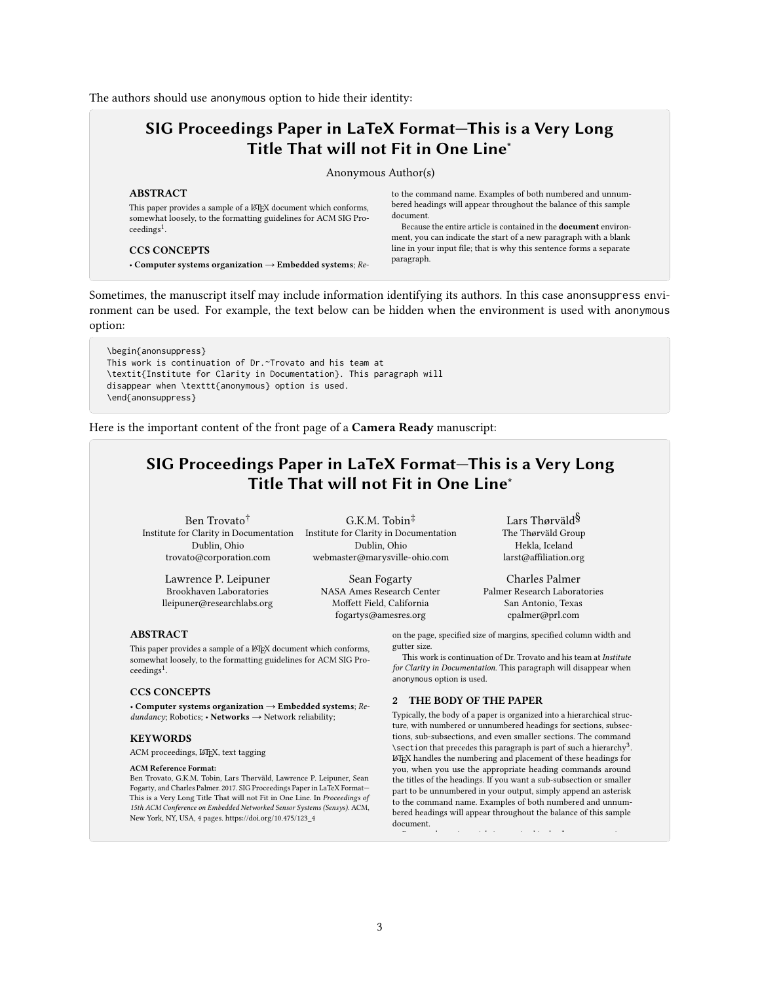The authors should use anonymous option to hide their identity:

## SIG Proceedings Paper in LaTeX Format—This is a Very Long Title That will not Fit in One Line<sup>∗</sup>

Anonymous Author(s)

### ABSTRACT

This paper provides a sample of a LATEX document which conforms, somewhat loosely, to the formatting guidelines for ACM SIG Proceedings<sup>1</sup>.

### CCS CONCEPTS

• Computer systems organization  $\rightarrow$  Embedded systems;  $Re$ -

to the command name. Examples of both numbered and unnumbered headings will appear throughout the balance of this sample document.

Because the entire article is contained in the document environment, you can indicate the start of a new paragraph with a blank line in your input file; that is why this sentence forms a separate paragraph.

2.1 Type Changes and Special Characters

Sometimes, the manuscript itself may include information identifying its authors. In this case anonsuppress envit can be used. For example, the text below can be hidden when the environment is used with anc ronment can be used. For example, the text below can be hidden when the environment is used with anonymous option:

\begin{anonsuppress} ACM Conference on Embedded Networked Sensor Systems (Sensys). ACM, New York, NY, USA, 4 pages. https://doi.org/10.475/123\_4 This work is continuation of Dr.~Trovato and his team at disappear when \texttt{anonymous} option is used. \end{anonsuppress} \textit{Institute for Clarity in Documentation}. This paragraph will<br>disannear when \texttt{anonymous} ontion is used

the important content of the front page of a  $\mathbf C$ ai Here is the important content of the front page of a  $\bf{Camera~Ready}$  manuscript:

#### $C/C$   $D_{\text{max}}$  specified specified sizes, and centered live SIG Proceedings Paper in LaTeX Format—This is a Very Long SIG Proceedings Paper in LaTeX Format—This is a Very Long Title That will not Fit in One Line<sup>\*</sup>

G.K.M. Tobin‡

Ben Trovato<sup>†</sup> G.K. ture, with number or unnumbered headings for sections, subsections, subsections, subsections, subsections, subsections, subsections, subsections, subsections, subsections, subsections, subsections, subsections, subsections Institute for Clarity in Documentation Institute for Clarity in Documentation Dublin, Ohio Du<sup>blin</sup>, Ohio Du<sup>blin</sup>, Ohio trovato@corporation.com webmaster@r

the titles of the headings. If you want a sub-subsection of the sub-subsection of the sub-subsection of  $Sear$ Brookhaven Laboratories MASA Ame: lleipuner@researchlabs.org

. Dublin, Ohio NASA Ames Research Center Palme webmaster@marysville-ohio.com Sean Fogarty Moffett Field, California

ville-ohio.com larst@affiliation.org  $\mathcal{L}_\text{max} = \mathcal{L}_\text{max} = \mathcal{L}_\text{max} = \mathcal{L}_\text{max} = \mathcal{L}_\text{max} = \mathcal{L}_\text{max} = \mathcal{L}_\text{max} = \mathcal{L}_\text{max} = \mathcal{L}_\text{max} = \mathcal{L}_\text{max} = \mathcal{L}_\text{max} = \mathcal{L}_\text{max} = \mathcal{L}_\text{max} = \mathcal{L}_\text{max} = \mathcal{L}_\text{max} = \mathcal{L}_\text{max} = \mathcal{L}_\text{max} = \mathcal{L}_\text{max} = \mathcal{$ set in in-line math style, looks slightly different when set in in-line  $\Gamma$  charles Palmer Palmer Research Laboratories

2.2.2 Display Equations. A numbered display equation—one set San Antonio, Texas

running text is called an inline or in  $\mathcal{S}$  $\mu^{\ddag}$  math environment, which can be invoked with the usual  $\delta$ \begin . . . \end construction or with the short form \$ . . . \$. The Thørväld Group **The symbols and structures, from a to α to ω, avail-**  $\alpha$  to  $\alpha$  the symbols and structures, from a to  $\alpha$ 

off by vertical space from the text and centered horizontal space from the text and centered horizontal  $\epsilon$ produced by the equation environment. An unnumbered display on the page, specified size of margins, specified column width and  $\frac{1}{2}$ fogartys@amesres.org

tter size.<br>This work is continuation of Dr. Trovato and his team at *Institute* Fins work is continuation of Dr. Trovato and his team at *institute*<br>for Clarity in Documentation. This paragraph will disappear when gutter size.

## anonymous option is used. 2 THE BODY OF THE PAPER

n→∞ Typically, the body of a paper is organized into a hierarchical structure, with numbered or unnumbered headings for sections, subsections, sub-subsections, and even smaller sections. The command  $\setminus$ section that precedes this paragraph is part of such a hierarchy<sup>3</sup>.  $\LaTeX{}$  handles the numbering and placement of these headings for you, when you use the appropriate heading commands around the titles of the headings. If you want a sub-subsection or smaller part to be unnumbered in your output, simply append an asterisk to the command name. Examples of both numbered and unnumbered headings will appear throughout the balance of this sample document.

## ABSTRACT

somewhat loosely, to the formatting guidelines for ACM SIG Profor profit or commercial advantage and that continues bear the full citation of  $\mathcal{L}$ This paper provides a sample of a LATEX document which conforms,

#### must be honored. Abstracting with credit is permitted. To copy otherwise, or republish, CCS CONCEPTS  $\frac{1}{\sqrt{2}}$  to position to redistribute to require permission and  $\frac{1}{\sqrt{2}}$

• Computer systems organization  $\rightarrow$  Embedded systems; Re- $\mathit{dundancy}$ ; Robotics; • Networks → Network reliability;

## KEYWORDS

ACM proceedings, LATEX, text tagging

#### ACM Reference Format:

Ben Trovato, G.K.M. Tobin, Lars Thørväld, Lawrence P. Leipuner, Sean Fogarty, and Charles Palmer. 2017. SIG Proceedings Paper in LaTeX Format— This is a Very Long Title That will not Fit in One Line. In Proceedings of 15th ACM Conference on Embedded Networked Sensor Systems (Sensys). ACM, New York, NY, USA, 4 pages. https://doi.org/10.475/123\_4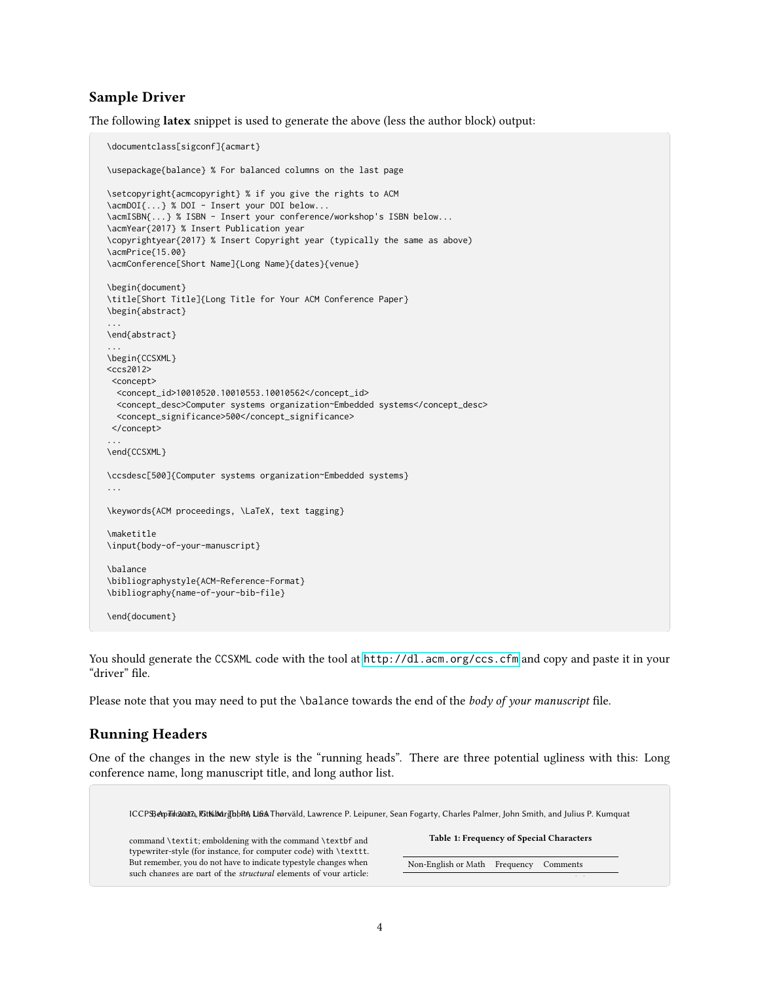### Sample Driver

The following latex snippet is used to generate the above (less the author block) output:

```
\documentclass[sigconf]{acmart}
\usepackage{balance} % For balanced columns on the last page
\setcopyright{acmcopyright} % if you give the rights to ACM
\acmDOI{...} % DOI - Insert your DOI below...
\acmISBN{...} % ISBN - Insert your conference/workshop's ISBN below...
\acmYear{2017} % Insert Publication year
\copyrightyear{2017} % Insert Copyright year (typically the same as above)
\acmPrice{15.00}
\acmConference[Short Name]{Long Name}{dates}{venue}
\begin{document}
\title[Short Title]{Long Title for Your ACM Conference Paper}
\begin{abstract}
...
\end{abstract}
...
\begin{CCSXML}
<ccs2012>
<concept>
 <concept_id>10010520.10010553.10010562</concept_id>
 <concept_desc>Computer systems organization~Embedded systems</concept_desc>
 <concept_significance>500</concept_significance>
</concept>
...
\end{CCSXML}
\ccsdesc[500]{Computer systems organization~Embedded systems}
...
\keywords{ACM proceedings, \LaTeX, text tagging}
\maketitle
\input{body-of-your-manuscript}
\balance
\bibliographystyle{ACM-Reference-Format}
\bibliography{name-of-your-bib-file}
\end{document}
```
You should generate the CCSXML code with the tool at <http://dl.acm.org/ccs.cfm> and copy and paste it in your "driver" file.

Please note that you may need to put the \balance towards the end of the body of your manuscript file.

### Running Headers

One of the changes in the new style is the "running heads". There are three potential ugliness with this: Long conference name, long manuscript title, and long author list.

ICCPS; April 2027, Rit MargbbRA, Lisa Thørväld, Lawrence P. Leipuner, Sean Fogarty, Charles Palmer, John Smith, and Julius P. Kumquat command **\textit;** emboldening with the command **\textbf** and typewriter-style (for instance, for computer code) with \texttt. But remember, you do not have to indicate typestyle changes when such changes are part of the *structural* elements of your article: Table 1: Frequency of Special Characters Non-English or Math Frequency Comments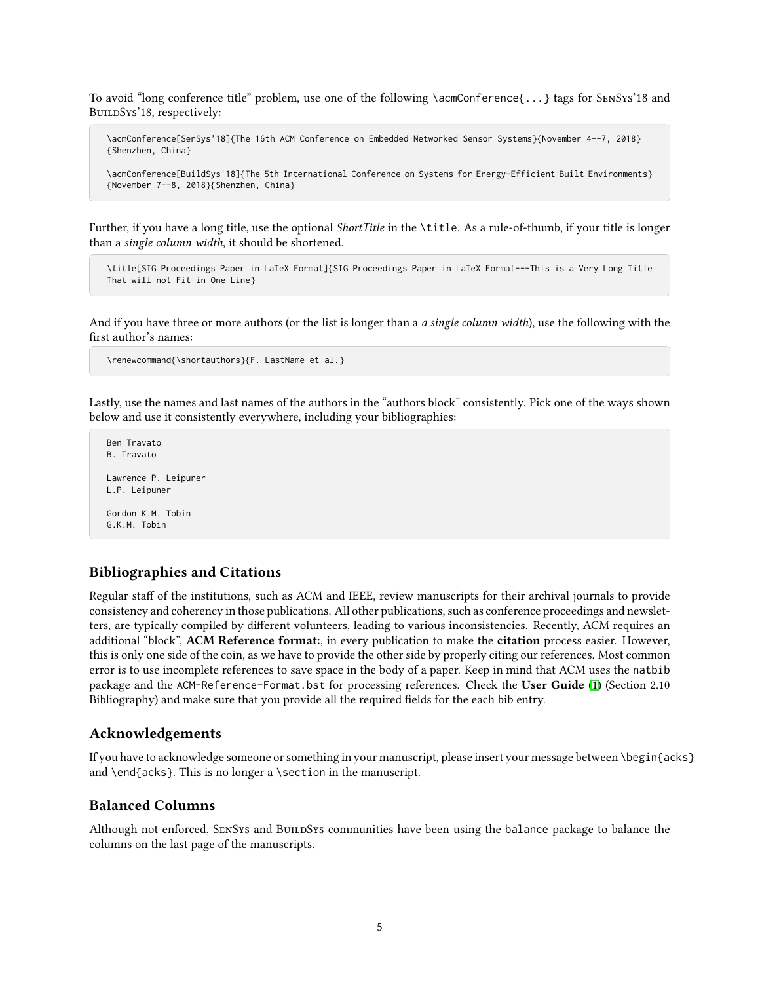To avoid "long conference title" problem, use one of the following \acmConference{...} tags for SenSys'18 and BuildSys'18, respectively:

\acmConference[SenSys'18]{The 16th ACM Conference on Embedded Networked Sensor Systems}{November 4--7, 2018} {Shenzhen, China}

\acmConference[BuildSys'18]{The 5th International Conference on Systems for Energy-Efficient Built Environments} {November 7--8, 2018}{Shenzhen, China}

Further, if you have a long title, use the optional ShortTitle in the \title. As a rule-of-thumb, if your title is longer than a single column width, it should be shortened.

\title[SIG Proceedings Paper in LaTeX Format]{SIG Proceedings Paper in LaTeX Format---This is a Very Long Title That will not Fit in One Line}

And if you have three or more authors (or the list is longer than a *a single column width*), use the following with the first author's names:

```
\renewcommand{\shortauthors}{F. LastName et al.}
```
Lastly, use the names and last names of the authors in the "authors block" consistently. Pick one of the ways shown below and use it consistently everywhere, including your bibliographies:

```
Ben Travato
B. Travato
Lawrence P. Leipuner
L.P. Leipuner
Gordon K.M. Tobin
```
G.K.M. Tobin

# Bibliographies and Citations

Regular staff of the institutions, such as ACM and IEEE, review manuscripts for their archival journals to provide consistency and coherency in those publications. All other publications, such as conference proceedings and newsletters, are typically compiled by different volunteers, leading to various inconsistencies. Recently, ACM requires an additional "block", ACM Reference format:, in every publication to make the citation process easier. However, this is only one side of the coin, as we have to provide the other side by properly citing our references. Most common error is to use incomplete references to save space in the body of a paper. Keep in mind that ACM uses the natbib package and the ACM-Reference-Format.bst for processing references. Check the User Guide [\(1\)](#page-5-0) (Section 2.10 Bibliography) and make sure that you provide all the required fields for the each bib entry.

### Acknowledgements

If you have to acknowledge someone or something in your manuscript, please insert your message between \begin{acks} and \end{acks}. This is no longer a \section in the manuscript.

### Balanced Columns

Although not enforced, SENSYS and BUILDSYS communities have been using the balance package to balance the columns on the last page of the manuscripts.